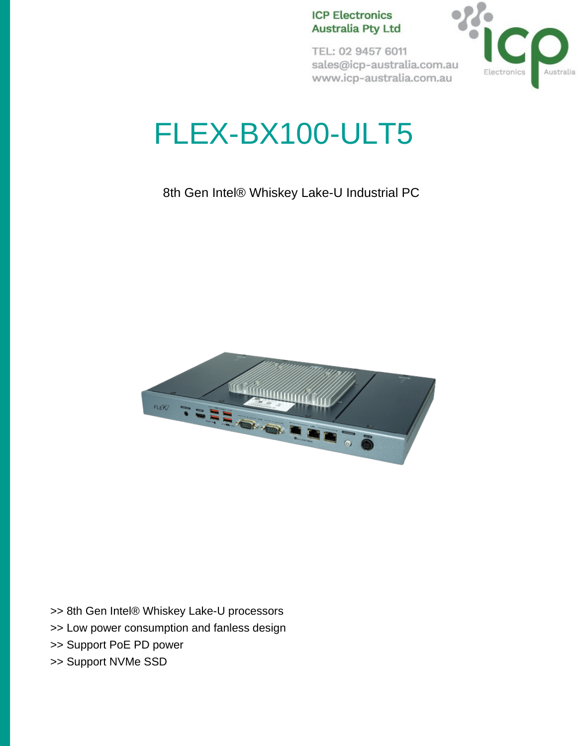#### **ICP Electronics Australia Pty Ltd**

TEL: 02 9457 6011 sales@icp-australia.com.au www.icp-australia.com.au



# FLEX-BX100-ULT5

8th Gen Intel® Whiskey Lake-U Industrial PC



>> 8th Gen Intel® Whiskey Lake-U processors

- >> Low power consumption and fanless design
- >> Support PoE PD power
- >> Support NVMe SSD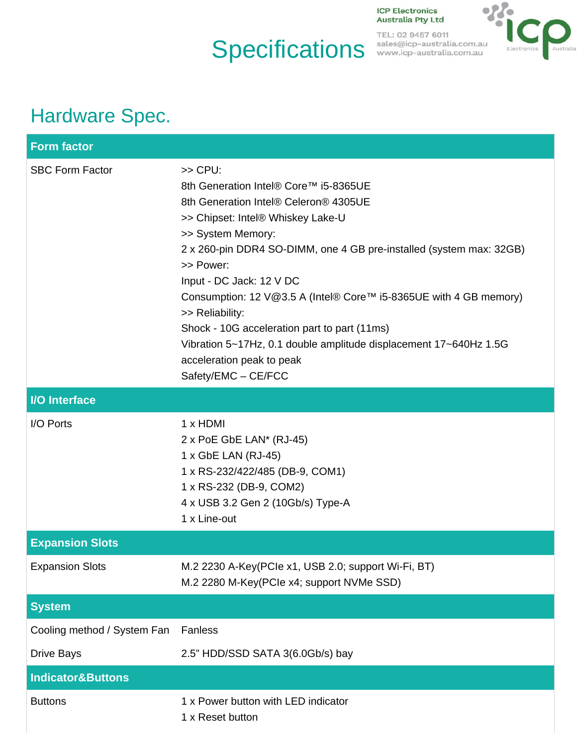## **Specifications**

**ICP Electronics Australia Pty Ltd** 

TEL: 02 9457 6011<br>sales@icp-australia.com.au<br>www.icp-australia.com.au



### Hardware Spec.

| <b>Form factor</b>           |                                                                                                                                                                                                                                                                                                                                                                                                                                                                                                                                        |
|------------------------------|----------------------------------------------------------------------------------------------------------------------------------------------------------------------------------------------------------------------------------------------------------------------------------------------------------------------------------------------------------------------------------------------------------------------------------------------------------------------------------------------------------------------------------------|
| <b>SBC Form Factor</b>       | $>>$ CPU:<br>8th Generation Intel® Core™ i5-8365UE<br>8th Generation Intel® Celeron® 4305UE<br>>> Chipset: Intel® Whiskey Lake-U<br>>> System Memory:<br>2 x 260-pin DDR4 SO-DIMM, one 4 GB pre-installed (system max: 32GB)<br>>> Power:<br>Input - DC Jack: 12 V DC<br>Consumption: 12 V@3.5 A (Intel® Core™ i5-8365UE with 4 GB memory)<br>>> Reliability:<br>Shock - 10G acceleration part to part (11ms)<br>Vibration 5~17Hz, 0.1 double amplitude displacement 17~640Hz 1.5G<br>acceleration peak to peak<br>Safety/EMC - CE/FCC |
| <b>I/O</b> Interface         |                                                                                                                                                                                                                                                                                                                                                                                                                                                                                                                                        |
| I/O Ports                    | $1 \times$ HDMI<br>2 x PoE GbE LAN* (RJ-45)<br>1 x GbE LAN (RJ-45)<br>1 x RS-232/422/485 (DB-9, COM1)<br>1 x RS-232 (DB-9, COM2)<br>4 x USB 3.2 Gen 2 (10Gb/s) Type-A<br>1 x Line-out                                                                                                                                                                                                                                                                                                                                                  |
| <b>Expansion Slots</b>       |                                                                                                                                                                                                                                                                                                                                                                                                                                                                                                                                        |
| <b>Expansion Slots</b>       | M.2 2230 A-Key(PCIe x1, USB 2.0; support Wi-Fi, BT)<br>M.2 2280 M-Key(PCle x4; support NVMe SSD)                                                                                                                                                                                                                                                                                                                                                                                                                                       |
| <b>System</b>                |                                                                                                                                                                                                                                                                                                                                                                                                                                                                                                                                        |
| Cooling method / System Fan  | Fanless                                                                                                                                                                                                                                                                                                                                                                                                                                                                                                                                |
| <b>Drive Bays</b>            | 2.5" HDD/SSD SATA 3(6.0Gb/s) bay                                                                                                                                                                                                                                                                                                                                                                                                                                                                                                       |
| <b>Indicator&amp;Buttons</b> |                                                                                                                                                                                                                                                                                                                                                                                                                                                                                                                                        |
| <b>Buttons</b>               | 1 x Power button with LED indicator<br>1 x Reset button                                                                                                                                                                                                                                                                                                                                                                                                                                                                                |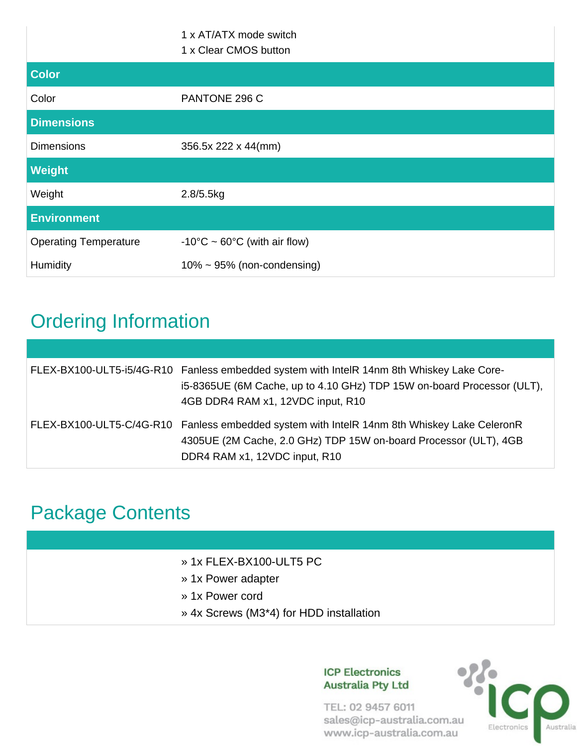|                              | 1 x AT/ATX mode switch<br>1 x Clear CMOS button |
|------------------------------|-------------------------------------------------|
| <b>Color</b>                 |                                                 |
| Color                        | PANTONE 296 C                                   |
| <b>Dimensions</b>            |                                                 |
| <b>Dimensions</b>            | 356.5x 222 x 44(mm)                             |
| Weight                       |                                                 |
| Weight                       | 2.8/5.5kg                                       |
| <b>Environment</b>           |                                                 |
| <b>Operating Temperature</b> | -10°C ~ $60^{\circ}$ C (with air flow)          |
| Humidity                     | $10\% \sim 95\%$ (non-condensing)               |

### Ordering Information

| FLEX-BX100-ULT5-i5/4G-R10 Fanless embedded system with IntelR 14nm 8th Whiskey Lake Core-<br>i5-8365UE (6M Cache, up to 4.10 GHz) TDP 15W on-board Processor (ULT),<br>4GB DDR4 RAM x1, 12VDC input, R10 |
|----------------------------------------------------------------------------------------------------------------------------------------------------------------------------------------------------------|
| FLEX-BX100-ULT5-C/4G-R10 Fanless embedded system with IntelR 14nm 8th Whiskey Lake CeleronR<br>4305UE (2M Cache, 2.0 GHz) TDP 15W on-board Processor (ULT), 4GB<br>DDR4 RAM x1, 12VDC input, R10         |

### Package Contents

| » 1x FLEX-BX100-ULT5 PC                 |
|-----------------------------------------|
|                                         |
|                                         |
|                                         |
| » 4x Screws (M3*4) for HDD installation |
|                                         |

#### **ICP Electronics Australia Pty Ltd**

TEL: 02 9457 6011 sales@icp-australia.com.au www.icp-australia.com.au